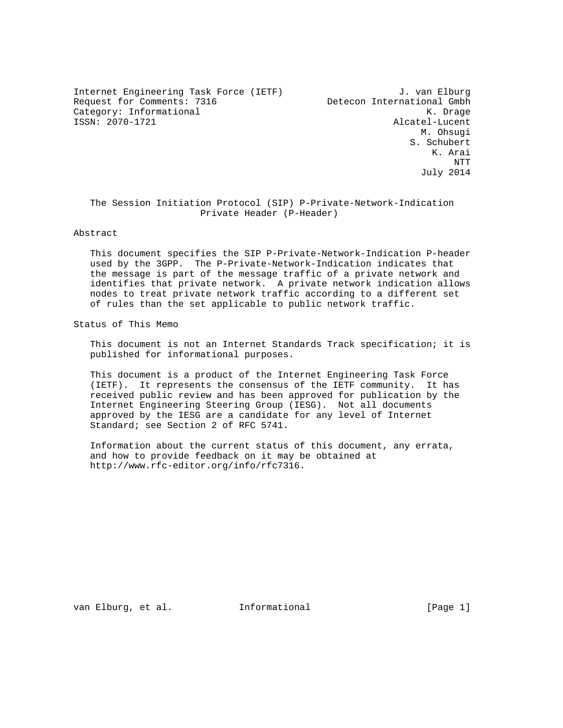Internet Engineering Task Force (IETF) J. van Elburg Request for Comments: 7316 Detecon International Gmbh Category: Informational K. Drage

Alcatel-Lucent M. Ohsugi S. Schubert K. Arai NTT July 2014

 The Session Initiation Protocol (SIP) P-Private-Network-Indication Private Header (P-Header)

Abstract

 This document specifies the SIP P-Private-Network-Indication P-header used by the 3GPP. The P-Private-Network-Indication indicates that the message is part of the message traffic of a private network and identifies that private network. A private network indication allows nodes to treat private network traffic according to a different set of rules than the set applicable to public network traffic.

Status of This Memo

 This document is not an Internet Standards Track specification; it is published for informational purposes.

 This document is a product of the Internet Engineering Task Force (IETF). It represents the consensus of the IETF community. It has received public review and has been approved for publication by the Internet Engineering Steering Group (IESG). Not all documents approved by the IESG are a candidate for any level of Internet Standard; see Section 2 of RFC 5741.

 Information about the current status of this document, any errata, and how to provide feedback on it may be obtained at http://www.rfc-editor.org/info/rfc7316.

van Elburg, et al. 1nformational [Page 1]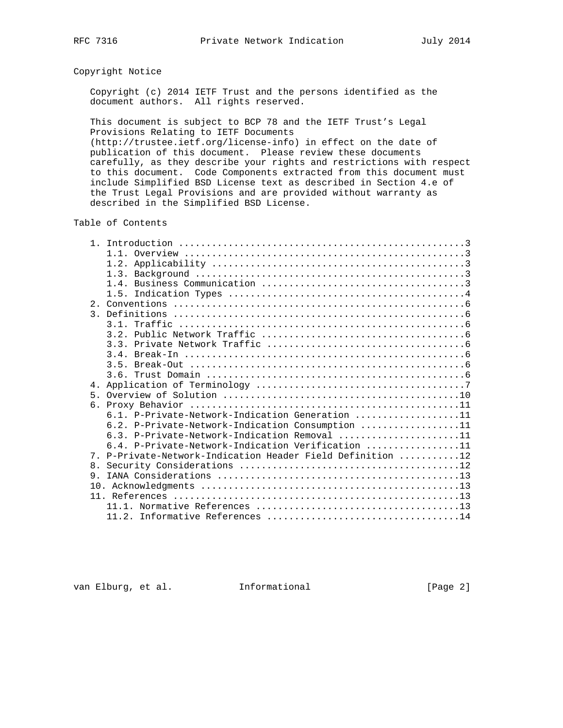# Copyright Notice

 Copyright (c) 2014 IETF Trust and the persons identified as the document authors. All rights reserved.

 This document is subject to BCP 78 and the IETF Trust's Legal Provisions Relating to IETF Documents

 (http://trustee.ietf.org/license-info) in effect on the date of publication of this document. Please review these documents carefully, as they describe your rights and restrictions with respect to this document. Code Components extracted from this document must include Simplified BSD License text as described in Section 4.e of the Trust Legal Provisions and are provided without warranty as described in the Simplified BSD License.

Table of Contents

| 4 <sub>1</sub>                                                         |  |
|------------------------------------------------------------------------|--|
| $5 -$                                                                  |  |
|                                                                        |  |
| 6.1. P-Private-Network-Indication Generation 11                        |  |
| 6.2. P-Private-Network-Indication Consumption 11                       |  |
| 6.3. P-Private-Network-Indication Removal 11                           |  |
| 6.4. P-Private-Network-Indication Verification 11                      |  |
| P-Private-Network-Indication Header Field Definition 12<br>$7^{\circ}$ |  |
| 8.                                                                     |  |
| 9                                                                      |  |
| 10.                                                                    |  |
|                                                                        |  |
|                                                                        |  |
|                                                                        |  |

van Elburg, et al. Informational [Page 2]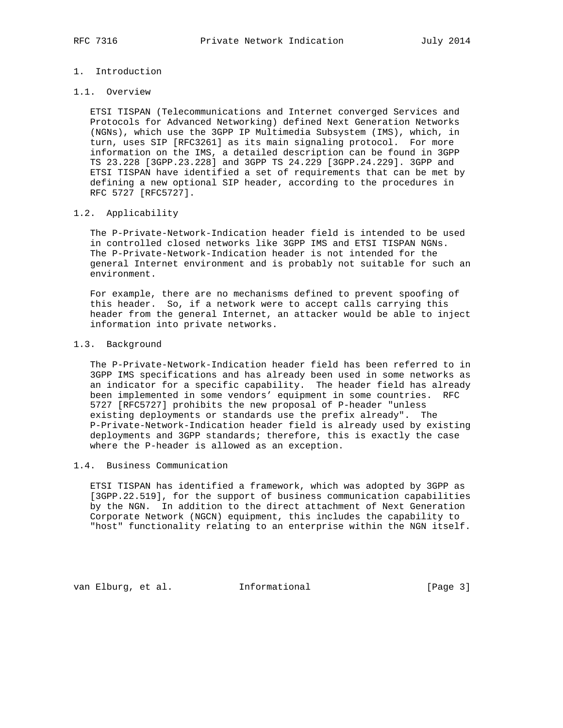# 1. Introduction

## 1.1. Overview

 ETSI TISPAN (Telecommunications and Internet converged Services and Protocols for Advanced Networking) defined Next Generation Networks (NGNs), which use the 3GPP IP Multimedia Subsystem (IMS), which, in turn, uses SIP [RFC3261] as its main signaling protocol. For more information on the IMS, a detailed description can be found in 3GPP TS 23.228 [3GPP.23.228] and 3GPP TS 24.229 [3GPP.24.229]. 3GPP and ETSI TISPAN have identified a set of requirements that can be met by defining a new optional SIP header, according to the procedures in RFC 5727 [RFC5727].

## 1.2. Applicability

 The P-Private-Network-Indication header field is intended to be used in controlled closed networks like 3GPP IMS and ETSI TISPAN NGNs. The P-Private-Network-Indication header is not intended for the general Internet environment and is probably not suitable for such an environment.

 For example, there are no mechanisms defined to prevent spoofing of this header. So, if a network were to accept calls carrying this header from the general Internet, an attacker would be able to inject information into private networks.

#### 1.3. Background

 The P-Private-Network-Indication header field has been referred to in 3GPP IMS specifications and has already been used in some networks as an indicator for a specific capability. The header field has already been implemented in some vendors' equipment in some countries. RFC 5727 [RFC5727] prohibits the new proposal of P-header "unless existing deployments or standards use the prefix already". The P-Private-Network-Indication header field is already used by existing deployments and 3GPP standards; therefore, this is exactly the case where the P-header is allowed as an exception.

#### 1.4. Business Communication

 ETSI TISPAN has identified a framework, which was adopted by 3GPP as [3GPP.22.519], for the support of business communication capabilities by the NGN. In addition to the direct attachment of Next Generation Corporate Network (NGCN) equipment, this includes the capability to "host" functionality relating to an enterprise within the NGN itself.

van Elburg, et al. Informational [Page 3]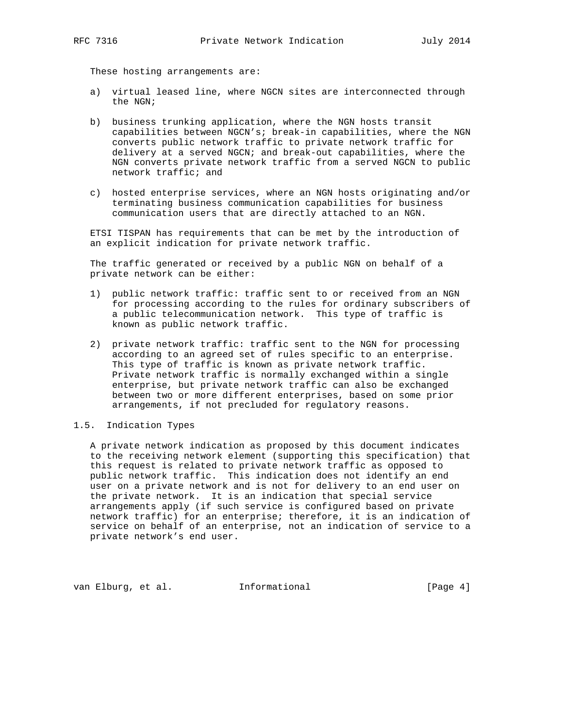These hosting arrangements are:

- a) virtual leased line, where NGCN sites are interconnected through the NGN;
- b) business trunking application, where the NGN hosts transit capabilities between NGCN's; break-in capabilities, where the NGN converts public network traffic to private network traffic for delivery at a served NGCN; and break-out capabilities, where the NGN converts private network traffic from a served NGCN to public network traffic; and
- c) hosted enterprise services, where an NGN hosts originating and/or terminating business communication capabilities for business communication users that are directly attached to an NGN.

 ETSI TISPAN has requirements that can be met by the introduction of an explicit indication for private network traffic.

 The traffic generated or received by a public NGN on behalf of a private network can be either:

- 1) public network traffic: traffic sent to or received from an NGN for processing according to the rules for ordinary subscribers of a public telecommunication network. This type of traffic is known as public network traffic.
- 2) private network traffic: traffic sent to the NGN for processing according to an agreed set of rules specific to an enterprise. This type of traffic is known as private network traffic. Private network traffic is normally exchanged within a single enterprise, but private network traffic can also be exchanged between two or more different enterprises, based on some prior arrangements, if not precluded for regulatory reasons.

#### 1.5. Indication Types

 A private network indication as proposed by this document indicates to the receiving network element (supporting this specification) that this request is related to private network traffic as opposed to public network traffic. This indication does not identify an end user on a private network and is not for delivery to an end user on the private network. It is an indication that special service arrangements apply (if such service is configured based on private network traffic) for an enterprise; therefore, it is an indication of service on behalf of an enterprise, not an indication of service to a private network's end user.

van Elburg, et al. Informational [Page 4]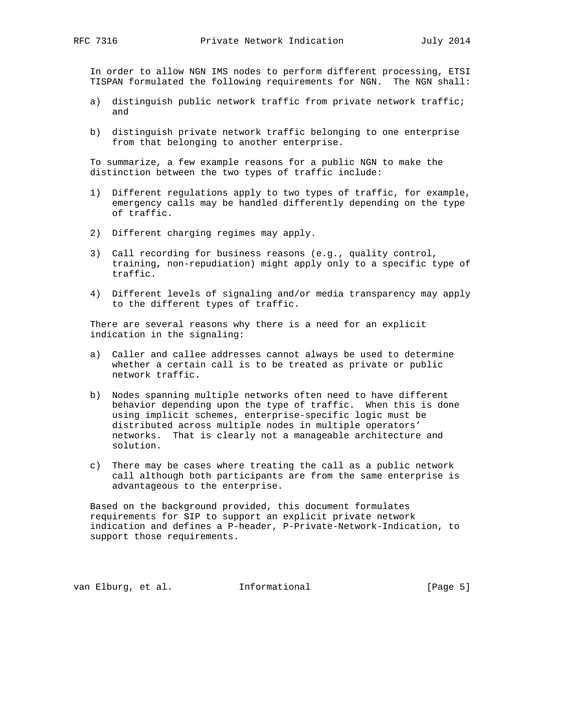In order to allow NGN IMS nodes to perform different processing, ETSI TISPAN formulated the following requirements for NGN. The NGN shall:

- a) distinguish public network traffic from private network traffic; and
- b) distinguish private network traffic belonging to one enterprise from that belonging to another enterprise.

 To summarize, a few example reasons for a public NGN to make the distinction between the two types of traffic include:

- 1) Different regulations apply to two types of traffic, for example, emergency calls may be handled differently depending on the type of traffic.
- 2) Different charging regimes may apply.
- 3) Call recording for business reasons (e.g., quality control, training, non-repudiation) might apply only to a specific type of traffic.
- 4) Different levels of signaling and/or media transparency may apply to the different types of traffic.

 There are several reasons why there is a need for an explicit indication in the signaling:

- a) Caller and callee addresses cannot always be used to determine whether a certain call is to be treated as private or public network traffic.
- b) Nodes spanning multiple networks often need to have different behavior depending upon the type of traffic. When this is done using implicit schemes, enterprise-specific logic must be distributed across multiple nodes in multiple operators' networks. That is clearly not a manageable architecture and solution.
- c) There may be cases where treating the call as a public network call although both participants are from the same enterprise is advantageous to the enterprise.

 Based on the background provided, this document formulates requirements for SIP to support an explicit private network indication and defines a P-header, P-Private-Network-Indication, to support those requirements.

van Elburg, et al. Informational [Page 5]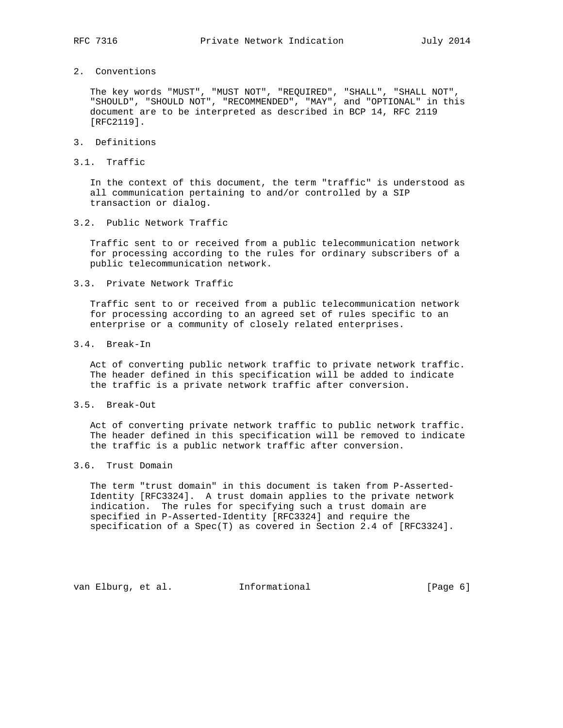- 
- 2. Conventions

 The key words "MUST", "MUST NOT", "REQUIRED", "SHALL", "SHALL NOT", "SHOULD", "SHOULD NOT", "RECOMMENDED", "MAY", and "OPTIONAL" in this document are to be interpreted as described in BCP 14, RFC 2119 [RFC2119].

- 3. Definitions
- 3.1. Traffic

 In the context of this document, the term "traffic" is understood as all communication pertaining to and/or controlled by a SIP transaction or dialog.

3.2. Public Network Traffic

 Traffic sent to or received from a public telecommunication network for processing according to the rules for ordinary subscribers of a public telecommunication network.

3.3. Private Network Traffic

 Traffic sent to or received from a public telecommunication network for processing according to an agreed set of rules specific to an enterprise or a community of closely related enterprises.

3.4. Break-In

 Act of converting public network traffic to private network traffic. The header defined in this specification will be added to indicate the traffic is a private network traffic after conversion.

3.5. Break-Out

 Act of converting private network traffic to public network traffic. The header defined in this specification will be removed to indicate the traffic is a public network traffic after conversion.

## 3.6. Trust Domain

 The term "trust domain" in this document is taken from P-Asserted- Identity [RFC3324]. A trust domain applies to the private network indication. The rules for specifying such a trust domain are specified in P-Asserted-Identity [RFC3324] and require the specification of a Spec(T) as covered in Section 2.4 of [RFC3324].

van Elburg, et al. Informational [Page 6]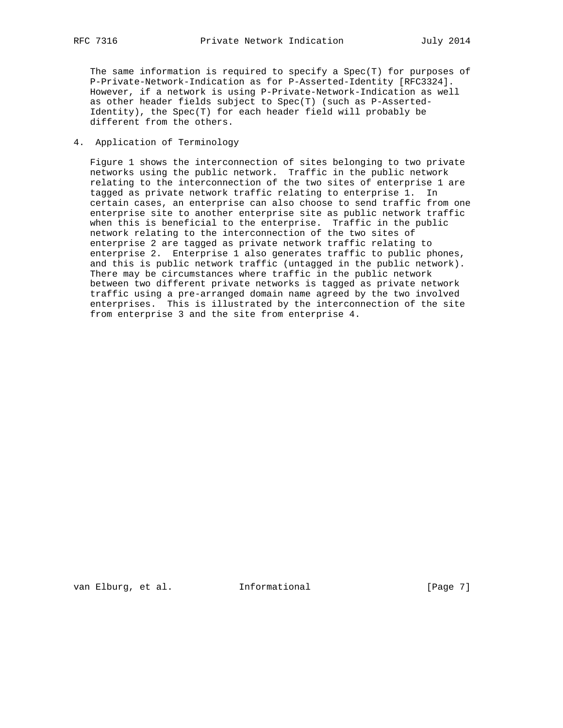The same information is required to specify a  $Spec(T)$  for purposes of P-Private-Network-Indication as for P-Asserted-Identity [RFC3324]. However, if a network is using P-Private-Network-Indication as well as other header fields subject to Spec(T) (such as P-Asserted- Identity), the Spec(T) for each header field will probably be different from the others.

4. Application of Terminology

 Figure 1 shows the interconnection of sites belonging to two private networks using the public network. Traffic in the public network relating to the interconnection of the two sites of enterprise 1 are tagged as private network traffic relating to enterprise 1. In certain cases, an enterprise can also choose to send traffic from one enterprise site to another enterprise site as public network traffic when this is beneficial to the enterprise. Traffic in the public network relating to the interconnection of the two sites of enterprise 2 are tagged as private network traffic relating to enterprise 2. Enterprise 1 also generates traffic to public phones, and this is public network traffic (untagged in the public network). There may be circumstances where traffic in the public network between two different private networks is tagged as private network traffic using a pre-arranged domain name agreed by the two involved enterprises. This is illustrated by the interconnection of the site from enterprise 3 and the site from enterprise 4.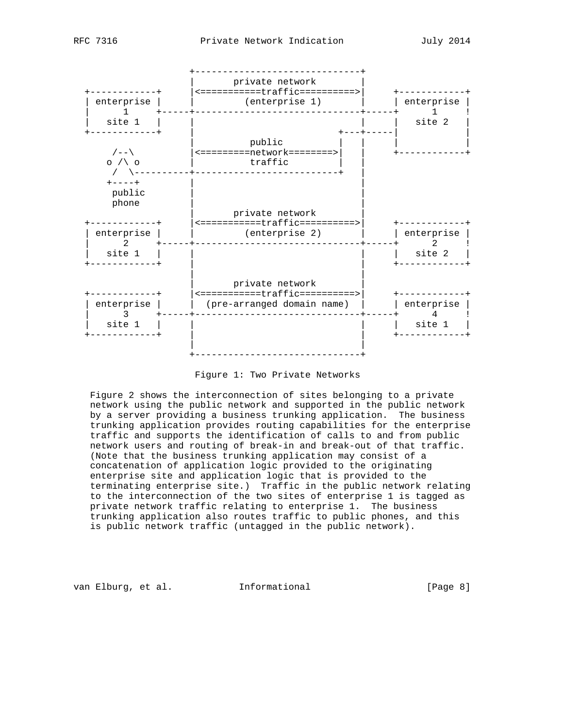

Figure 1: Two Private Networks

 Figure 2 shows the interconnection of sites belonging to a private network using the public network and supported in the public network by a server providing a business trunking application. The business trunking application provides routing capabilities for the enterprise traffic and supports the identification of calls to and from public network users and routing of break-in and break-out of that traffic. (Note that the business trunking application may consist of a concatenation of application logic provided to the originating enterprise site and application logic that is provided to the terminating enterprise site.) Traffic in the public network relating to the interconnection of the two sites of enterprise 1 is tagged as private network traffic relating to enterprise 1. The business trunking application also routes traffic to public phones, and this is public network traffic (untagged in the public network).

van Elburg, et al. 1nformational 1999 [Page 8]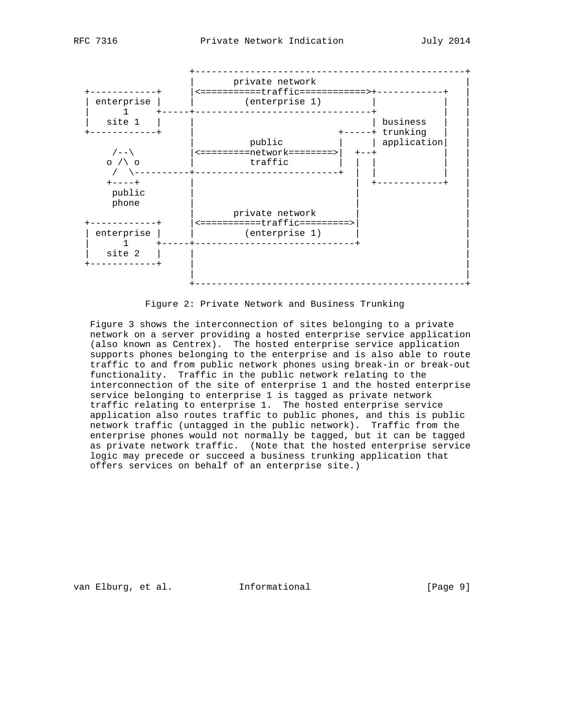



#### Figure 2: Private Network and Business Trunking

 Figure 3 shows the interconnection of sites belonging to a private network on a server providing a hosted enterprise service application (also known as Centrex). The hosted enterprise service application supports phones belonging to the enterprise and is also able to route traffic to and from public network phones using break-in or break-out functionality. Traffic in the public network relating to the interconnection of the site of enterprise 1 and the hosted enterprise service belonging to enterprise 1 is tagged as private network traffic relating to enterprise 1. The hosted enterprise service application also routes traffic to public phones, and this is public network traffic (untagged in the public network). Traffic from the enterprise phones would not normally be tagged, but it can be tagged as private network traffic. (Note that the hosted enterprise service logic may precede or succeed a business trunking application that offers services on behalf of an enterprise site.)

van Elburg, et al. 1nformational 1999 [Page 9]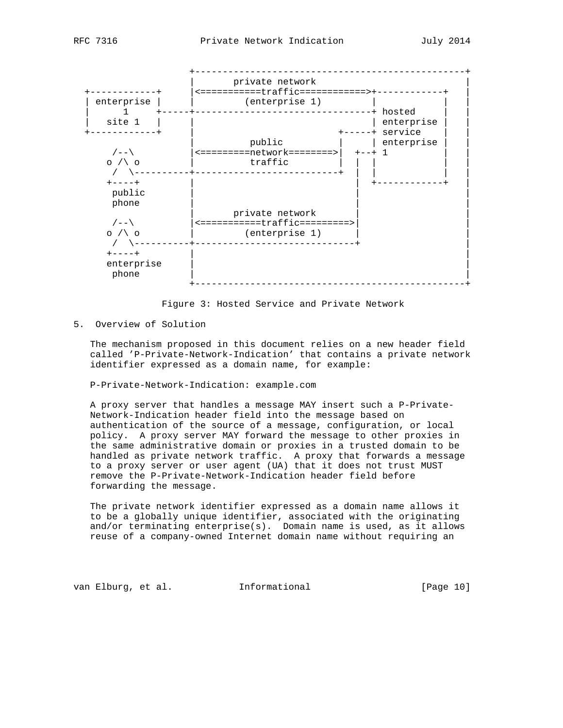

Figure 3: Hosted Service and Private Network

### 5. Overview of Solution

 The mechanism proposed in this document relies on a new header field called 'P-Private-Network-Indication' that contains a private network identifier expressed as a domain name, for example:

P-Private-Network-Indication: example.com

 A proxy server that handles a message MAY insert such a P-Private- Network-Indication header field into the message based on authentication of the source of a message, configuration, or local policy. A proxy server MAY forward the message to other proxies in the same administrative domain or proxies in a trusted domain to be handled as private network traffic. A proxy that forwards a message to a proxy server or user agent (UA) that it does not trust MUST remove the P-Private-Network-Indication header field before forwarding the message.

 The private network identifier expressed as a domain name allows it to be a globally unique identifier, associated with the originating and/or terminating enterprise(s). Domain name is used, as it allows reuse of a company-owned Internet domain name without requiring an

van Elburg, et al. 1nformational [Page 10]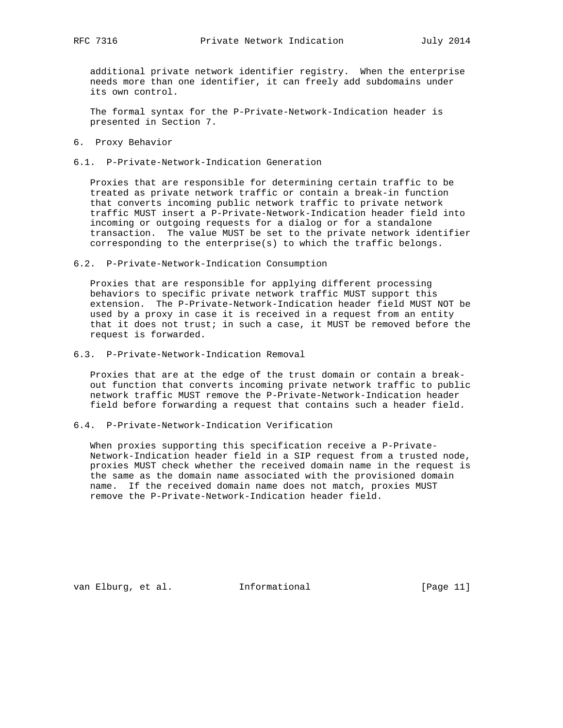additional private network identifier registry. When the enterprise needs more than one identifier, it can freely add subdomains under its own control.

 The formal syntax for the P-Private-Network-Indication header is presented in Section 7.

- 6. Proxy Behavior
- 6.1. P-Private-Network-Indication Generation

 Proxies that are responsible for determining certain traffic to be treated as private network traffic or contain a break-in function that converts incoming public network traffic to private network traffic MUST insert a P-Private-Network-Indication header field into incoming or outgoing requests for a dialog or for a standalone transaction. The value MUST be set to the private network identifier corresponding to the enterprise(s) to which the traffic belongs.

6.2. P-Private-Network-Indication Consumption

 Proxies that are responsible for applying different processing behaviors to specific private network traffic MUST support this extension. The P-Private-Network-Indication header field MUST NOT be used by a proxy in case it is received in a request from an entity that it does not trust; in such a case, it MUST be removed before the request is forwarded.

6.3. P-Private-Network-Indication Removal

 Proxies that are at the edge of the trust domain or contain a break out function that converts incoming private network traffic to public network traffic MUST remove the P-Private-Network-Indication header field before forwarding a request that contains such a header field.

6.4. P-Private-Network-Indication Verification

 When proxies supporting this specification receive a P-Private- Network-Indication header field in a SIP request from a trusted node, proxies MUST check whether the received domain name in the request is the same as the domain name associated with the provisioned domain name. If the received domain name does not match, proxies MUST remove the P-Private-Network-Indication header field.

van Elburg, et al. Informational [Page 11]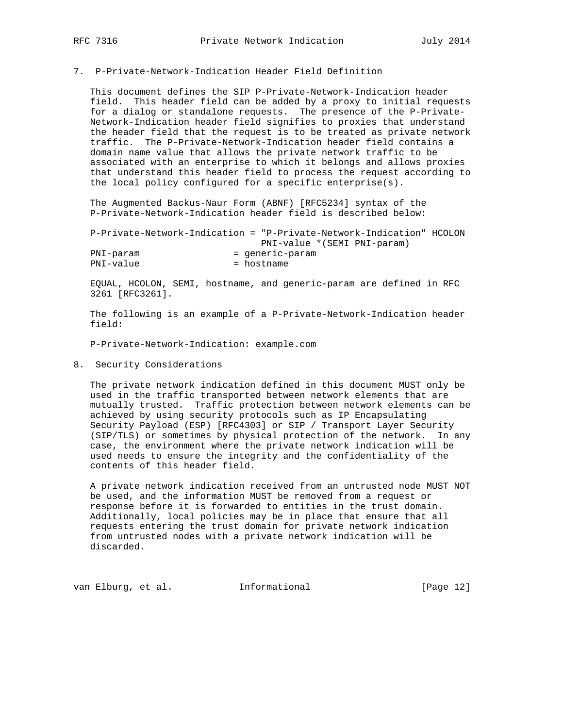# 7. P-Private-Network-Indication Header Field Definition

 This document defines the SIP P-Private-Network-Indication header field. This header field can be added by a proxy to initial requests for a dialog or standalone requests. The presence of the P-Private- Network-Indication header field signifies to proxies that understand the header field that the request is to be treated as private network traffic. The P-Private-Network-Indication header field contains a domain name value that allows the private network traffic to be associated with an enterprise to which it belongs and allows proxies that understand this header field to process the request according to the local policy configured for a specific enterprise(s).

 The Augmented Backus-Naur Form (ABNF) [RFC5234] syntax of the P-Private-Network-Indication header field is described below:

 P-Private-Network-Indication = "P-Private-Network-Indication" HCOLON PNI-value \*(SEMI PNI-param) PNI-param = generic-param PNI-value = hostname

 EQUAL, HCOLON, SEMI, hostname, and generic-param are defined in RFC 3261 [RFC3261].

 The following is an example of a P-Private-Network-Indication header field:

P-Private-Network-Indication: example.com

8. Security Considerations

 The private network indication defined in this document MUST only be used in the traffic transported between network elements that are mutually trusted. Traffic protection between network elements can be achieved by using security protocols such as IP Encapsulating Security Payload (ESP) [RFC4303] or SIP / Transport Layer Security (SIP/TLS) or sometimes by physical protection of the network. In any case, the environment where the private network indication will be used needs to ensure the integrity and the confidentiality of the contents of this header field.

 A private network indication received from an untrusted node MUST NOT be used, and the information MUST be removed from a request or response before it is forwarded to entities in the trust domain. Additionally, local policies may be in place that ensure that all requests entering the trust domain for private network indication from untrusted nodes with a private network indication will be discarded.

van Elburg, et al. 1nformational 1999 [Page 12]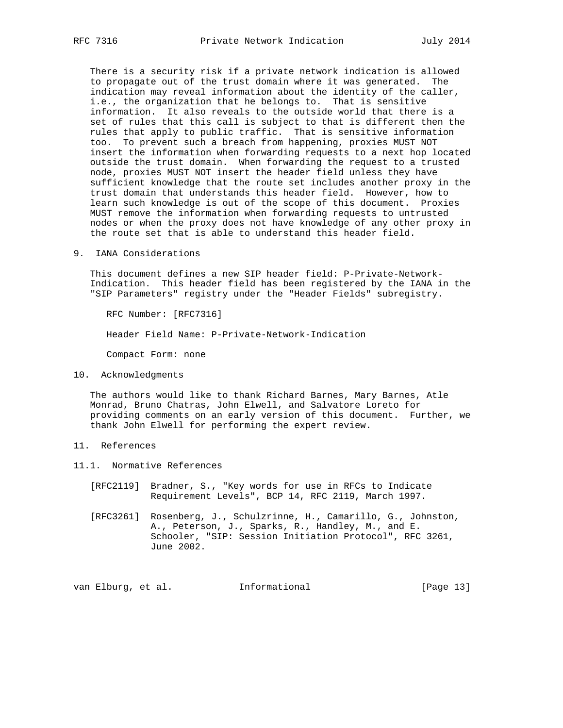There is a security risk if a private network indication is allowed to propagate out of the trust domain where it was generated. The indication may reveal information about the identity of the caller, i.e., the organization that he belongs to. That is sensitive information. It also reveals to the outside world that there is a set of rules that this call is subject to that is different then the rules that apply to public traffic. That is sensitive information too. To prevent such a breach from happening, proxies MUST NOT insert the information when forwarding requests to a next hop located outside the trust domain. When forwarding the request to a trusted node, proxies MUST NOT insert the header field unless they have sufficient knowledge that the route set includes another proxy in the trust domain that understands this header field. However, how to learn such knowledge is out of the scope of this document. Proxies MUST remove the information when forwarding requests to untrusted nodes or when the proxy does not have knowledge of any other proxy in the route set that is able to understand this header field.

9. IANA Considerations

 This document defines a new SIP header field: P-Private-Network- Indication. This header field has been registered by the IANA in the "SIP Parameters" registry under the "Header Fields" subregistry.

RFC Number: [RFC7316]

Header Field Name: P-Private-Network-Indication

Compact Form: none

10. Acknowledgments

 The authors would like to thank Richard Barnes, Mary Barnes, Atle Monrad, Bruno Chatras, John Elwell, and Salvatore Loreto for providing comments on an early version of this document. Further, we thank John Elwell for performing the expert review.

- 11. References
- 11.1. Normative References
	- [RFC2119] Bradner, S., "Key words for use in RFCs to Indicate Requirement Levels", BCP 14, RFC 2119, March 1997.
	- [RFC3261] Rosenberg, J., Schulzrinne, H., Camarillo, G., Johnston, A., Peterson, J., Sparks, R., Handley, M., and E. Schooler, "SIP: Session Initiation Protocol", RFC 3261, June 2002.

van Elburg, et al. Informational [Page 13]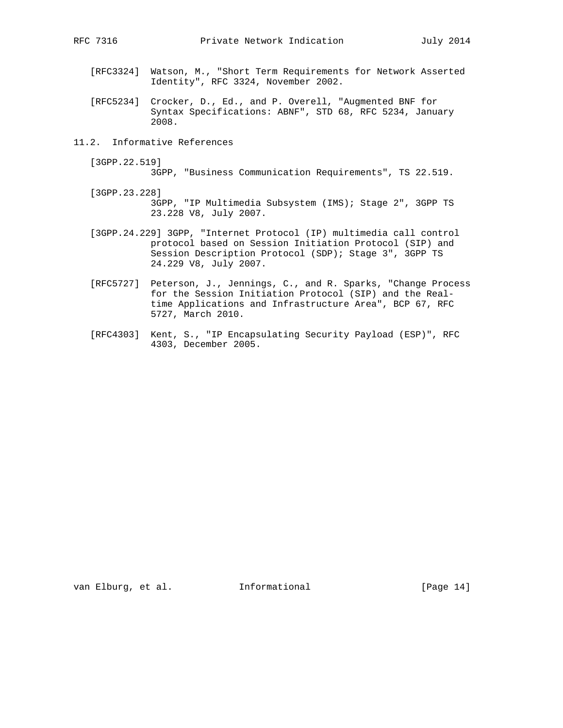- [RFC3324] Watson, M., "Short Term Requirements for Network Asserted Identity", RFC 3324, November 2002.
- [RFC5234] Crocker, D., Ed., and P. Overell, "Augmented BNF for Syntax Specifications: ABNF", STD 68, RFC 5234, January 2008.
- 11.2. Informative References
	- [3GPP.22.519]

```
 3GPP, "Business Communication Requirements", TS 22.519.
```
- [3GPP.23.228] 3GPP, "IP Multimedia Subsystem (IMS); Stage 2", 3GPP TS 23.228 V8, July 2007.
- [3GPP.24.229] 3GPP, "Internet Protocol (IP) multimedia call control protocol based on Session Initiation Protocol (SIP) and Session Description Protocol (SDP); Stage 3", 3GPP TS 24.229 V8, July 2007.
- [RFC5727] Peterson, J., Jennings, C., and R. Sparks, "Change Process for the Session Initiation Protocol (SIP) and the Real time Applications and Infrastructure Area", BCP 67, RFC 5727, March 2010.
- [RFC4303] Kent, S., "IP Encapsulating Security Payload (ESP)", RFC 4303, December 2005.